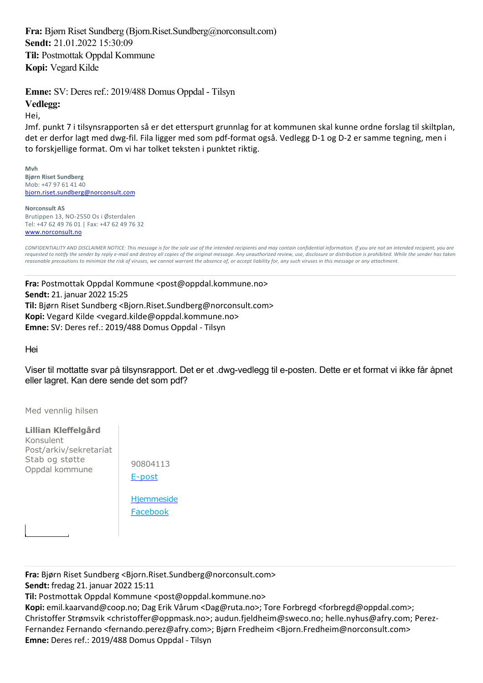**Fra:** Bjørn Riset Sundberg (Bjorn.Riset.Sundberg@norconsult.com) **Sendt:** 21.01.2022 15:30:09 **Til:** Postmottak Oppdal Kommune **Kopi:** Vegard Kilde

**Emne:** SV: Deres ref.: 2019/488 Domus Oppdal - Tilsyn

## **Vedlegg:**

Hei,

Jmf. punkt 7 i tilsynsrapporten så er det etterspurt grunnlag for at kommunen skal kunne ordne forslag til skiltplan, det er derfor lagt med dwg‐fil. Fila ligger med som pdf‐format også. Vedlegg D‐1 og D‐2 er samme tegning, men i to forskjellige format. Om vi har tolket teksten i punktet riktig.

**Mvh Bjørn Riset Sundberg** Mob: +47 97 61 41 40 bjorn.riset.sundberg@norconsult.com

**Norconsult AS** Brutippen 13, NO‐2550 Os i Østerdalen Tel: +47 62 49 76 01 | Fax: +47 62 49 76 32 www.norconsult.no

*CONFIDENTIALITY AND DISCLAIMER NOTICE: This message is for the sole use of the intended recipients and may contain confidential information. If you are not an intended recipient, you are requested to notify the sender by reply e‐mail and destroy all copies of the original message. Any unauthorized review, use, disclosure or distribution is prohibited. While the sender has taken reasonable precautions to minimize the risk of viruses, we cannot warrant the absence of, or accept liability for, any such viruses in this message or any attachment.*

**Fra:** Postmottak Oppdal Kommune <post@oppdal.kommune.no> **Sendt:** 21. januar 2022 15:25 **Til:** Bjørn Riset Sundberg <Bjorn.Riset.Sundberg@norconsult.com> **Kopi:** Vegard Kilde <vegard.kilde@oppdal.kommune.no> **Emne:** SV: Deres ref.: 2019/488 Domus Oppdal ‐ Tilsyn

Hei

Viser til mottatte svar på tilsynsrapport. Det er et .dwg-vedlegg til e-posten. Dette er et format vi ikke får åpnet eller lagret. Kan dere sende det som pdf?

Med vennlig hilsen

**Lillian Kleffelgård** Konsulent Post/arkiv/sekretariat Stab og støtte Oppdal kommune

| 90804113           |
|--------------------|
| E-post             |
| <b>H</b> jemmeside |
| Facebook           |

**Fra:** Bjørn Riset Sundberg <Bjorn.Riset.Sundberg@norconsult.com> **Sendt:** fredag 21. januar 2022 15:11

**Til:** Postmottak Oppdal Kommune <post@oppdal.kommune.no>

Kopi: emil.kaarvand@coop.no; Dag Erik Vårum <Dag@ruta.no>; Tore Forbregd <forbregd@oppdal.com>; Christoffer Strømsvik <christoffer@oppmask.no>; audun.fjeldheim@sweco.no; helle.nyhus@afry.com; Perez‐ Fernandez Fernando <fernando.perez@afry.com>; Bjørn Fredheim <Bjorn.Fredheim@norconsult.com> **Emne:** Deres ref.: 2019/488 Domus Oppdal ‐ Tilsyn